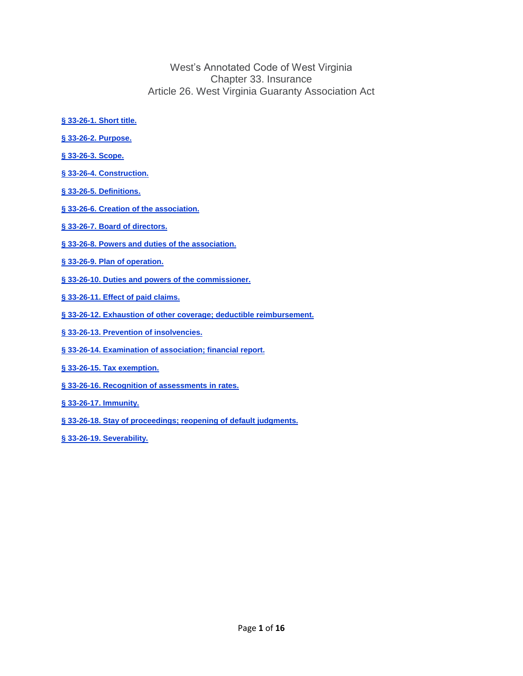West's Annotated Code of West Virginia Chapter 33. Insurance Article 26. West Virginia Guaranty Association Act

- **§ [33-26-1.](#page-1-0) Short title.**
- **§ 33-26-2. [Purpose.](#page-1-1)**
- **§ [33-26-3.](#page-1-2) Scope.**
- **§ 33-26-4. [Construction.](#page-2-0)**
- **§ 33-26-5. [Definitions.](#page-2-1)**
- **§ 33-26-6. Creation of the [association.](#page-5-0)**
- **§ 33-26-7. Board of [directors.](#page-5-1)**
- **§ 33-26-8. Powers and duties of the [association.](#page-6-0)**
- **§ 33-26-9. Plan of [operation.](#page-9-0)**
- **§ 33-26-10. Duties and powers of the [commissioner.](#page-10-0)**
- **§ [33-26-11.](#page-11-0) Effect of paid claims.**
- **§ 33-26-12. Exhaustion of other coverage; deductible [reimbursement.](#page-12-0)**
- **§ 33-26-13. Prevention of [insolvencies.](#page-13-0)**
- **§ 33-26-14. [Examination](#page-13-1) of association; financial report.**
- **§ 33-26-15. Tax [exemption.](#page-13-2)**
- **§ 33-26-16. Recognition of [assessments](#page-14-0) in rates.**
- **§ 33-26-17. [Immunity.](#page-14-1)**
- **§ 33-26-18. Stay of [proceedings;](#page-14-2) reopening of default judgments.**
- **§ 33-26-19. [Severability.](#page-15-0)**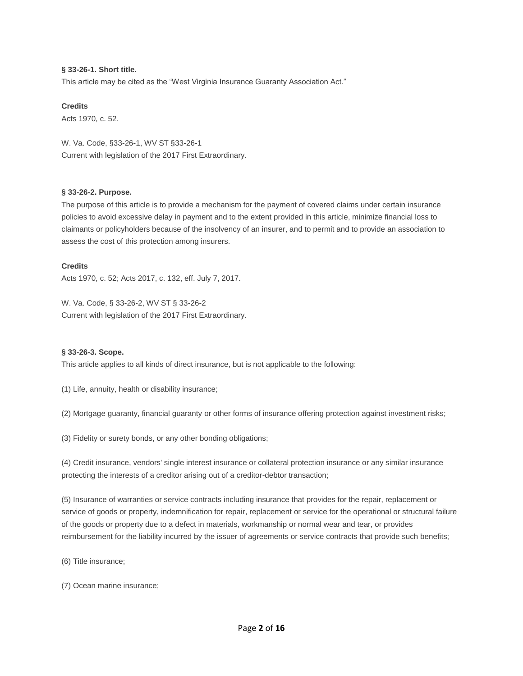# <span id="page-1-0"></span>**§ 33-26-1. Short title.**

This article may be cited as the "West Virginia Insurance Guaranty Association Act."

## **Credits**

Acts 1970, c. 52.

W. Va. Code, §33-26-1, WV ST §33-26-1 Current with legislation of the 2017 First Extraordinary.

# <span id="page-1-1"></span>**§ 33-26-2. Purpose.**

The purpose of this article is to provide a mechanism for the payment of covered claims under certain insurance policies to avoid excessive delay in payment and to the extent provided in this article, minimize financial loss to claimants or policyholders because of the insolvency of an insurer, and to permit and to provide an association to assess the cost of this protection among insurers.

# **Credits**

Acts 1970, c. 52; Acts 2017, c. 132, eff. July 7, 2017.

W. Va. Code, § 33-26-2, WV ST § 33-26-2 Current with legislation of the 2017 First Extraordinary.

## <span id="page-1-2"></span>**§ 33-26-3. Scope.**

This article applies to all kinds of direct insurance, but is not applicable to the following:

(1) Life, annuity, health or disability insurance;

(2) Mortgage guaranty, financial guaranty or other forms of insurance offering protection against investment risks;

(3) Fidelity or surety bonds, or any other bonding obligations;

(4) Credit insurance, vendors' single interest insurance or collateral protection insurance or any similar insurance protecting the interests of a creditor arising out of a creditor-debtor transaction;

(5) Insurance of warranties or service contracts including insurance that provides for the repair, replacement or service of goods or property, indemnification for repair, replacement or service for the operational or structural failure of the goods or property due to a defect in materials, workmanship or normal wear and tear, or provides reimbursement for the liability incurred by the issuer of agreements or service contracts that provide such benefits;

(6) Title insurance;

(7) Ocean marine insurance;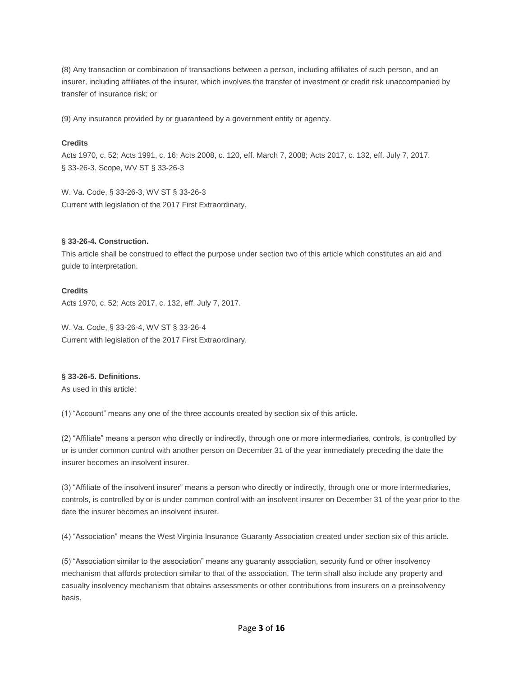(8) Any transaction or combination of transactions between a person, including affiliates of such person, and an insurer, including affiliates of the insurer, which involves the transfer of investment or credit risk unaccompanied by transfer of insurance risk; or

(9) Any insurance provided by or guaranteed by a government entity or agency.

# **Credits**

Acts 1970, c. 52; Acts 1991, c. 16; Acts 2008, c. 120, eff. March 7, 2008; Acts 2017, c. 132, eff. July 7, 2017. § 33-26-3. Scope, WV ST § 33-26-3

W. Va. Code, § 33-26-3, WV ST § 33-26-3 Current with legislation of the 2017 First Extraordinary.

# <span id="page-2-0"></span>**§ 33-26-4. Construction.**

This article shall be construed to effect the purpose under section two of this article which constitutes an aid and guide to interpretation.

# **Credits**

Acts 1970, c. 52; Acts 2017, c. 132, eff. July 7, 2017.

W. Va. Code, § 33-26-4, WV ST § 33-26-4 Current with legislation of the 2017 First Extraordinary.

# <span id="page-2-1"></span>**§ 33-26-5. Definitions.**

As used in this article:

(1) "Account" means any one of the three accounts created by section six of this article.

(2) "Affiliate" means a person who directly or indirectly, through one or more intermediaries, controls, is controlled by or is under common control with another person on December 31 of the year immediately preceding the date the insurer becomes an insolvent insurer.

(3) "Affiliate of the insolvent insurer" means a person who directly or indirectly, through one or more intermediaries, controls, is controlled by or is under common control with an insolvent insurer on December 31 of the year prior to the date the insurer becomes an insolvent insurer.

(4) "Association" means the West Virginia Insurance Guaranty Association created under section six of this article.

(5) "Association similar to the association" means any guaranty association, security fund or other insolvency mechanism that affords protection similar to that of the association. The term shall also include any property and casualty insolvency mechanism that obtains assessments or other contributions from insurers on a preinsolvency basis.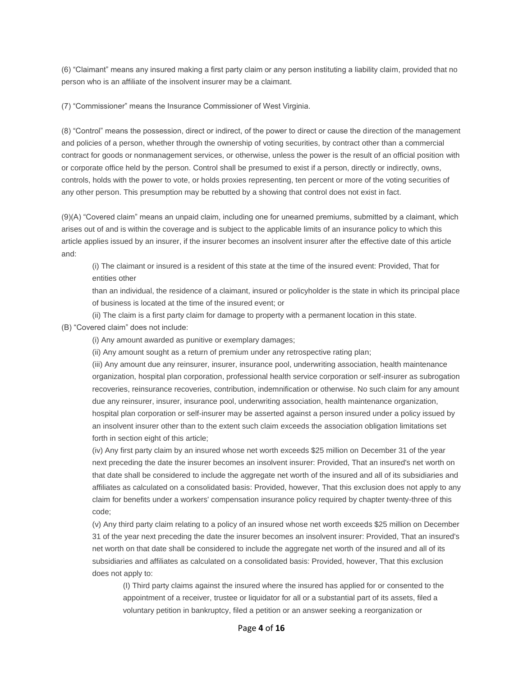(6) "Claimant" means any insured making a first party claim or any person instituting a liability claim, provided that no person who is an affiliate of the insolvent insurer may be a claimant.

(7) "Commissioner" means the Insurance Commissioner of West Virginia.

(8) "Control" means the possession, direct or indirect, of the power to direct or cause the direction of the management and policies of a person, whether through the ownership of voting securities, by contract other than a commercial contract for goods or nonmanagement services, or otherwise, unless the power is the result of an official position with or corporate office held by the person. Control shall be presumed to exist if a person, directly or indirectly, owns, controls, holds with the power to vote, or holds proxies representing, ten percent or more of the voting securities of any other person. This presumption may be rebutted by a showing that control does not exist in fact.

(9)(A) "Covered claim" means an unpaid claim, including one for unearned premiums, submitted by a claimant, which arises out of and is within the coverage and is subject to the applicable limits of an insurance policy to which this article applies issued by an insurer, if the insurer becomes an insolvent insurer after the effective date of this article and:

(i) The claimant or insured is a resident of this state at the time of the insured event: Provided, That for entities other

than an individual, the residence of a claimant, insured or policyholder is the state in which its principal place of business is located at the time of the insured event; or

(ii) The claim is a first party claim for damage to property with a permanent location in this state.

(B) "Covered claim" does not include:

(i) Any amount awarded as punitive or exemplary damages;

(ii) Any amount sought as a return of premium under any retrospective rating plan;

(iii) Any amount due any reinsurer, insurer, insurance pool, underwriting association, health maintenance organization, hospital plan corporation, professional health service corporation or self-insurer as subrogation recoveries, reinsurance recoveries, contribution, indemnification or otherwise. No such claim for any amount due any reinsurer, insurer, insurance pool, underwriting association, health maintenance organization, hospital plan corporation or self-insurer may be asserted against a person insured under a policy issued by an insolvent insurer other than to the extent such claim exceeds the association obligation limitations set forth in section eight of this article;

(iv) Any first party claim by an insured whose net worth exceeds \$25 million on December 31 of the year next preceding the date the insurer becomes an insolvent insurer: Provided, That an insured's net worth on that date shall be considered to include the aggregate net worth of the insured and all of its subsidiaries and affiliates as calculated on a consolidated basis: Provided, however, That this exclusion does not apply to any claim for benefits under a workers' compensation insurance policy required by chapter twenty-three of this code;

(v) Any third party claim relating to a policy of an insured whose net worth exceeds \$25 million on December 31 of the year next preceding the date the insurer becomes an insolvent insurer: Provided, That an insured's net worth on that date shall be considered to include the aggregate net worth of the insured and all of its subsidiaries and affiliates as calculated on a consolidated basis: Provided, however, That this exclusion does not apply to:

(I) Third party claims against the insured where the insured has applied for or consented to the appointment of a receiver, trustee or liquidator for all or a substantial part of its assets, filed a voluntary petition in bankruptcy, filed a petition or an answer seeking a reorganization or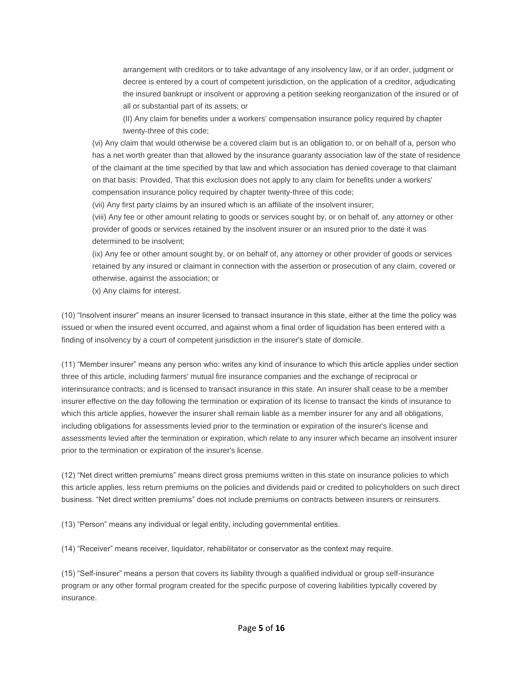arrangement with creditors or to take advantage of any insolvency law, or if an order, judgment or decree is entered by a court of competent jurisdiction, on the application of a creditor, adjudicating the insured bankrupt or insolvent or approving a petition seeking reorganization of the insured or of all or substantial part of its assets; or

(II) Any claim for benefits under a workers' compensation insurance policy required by chapter twenty-three of this code;

(vi) Any claim that would otherwise be a covered claim but is an obligation to, or on behalf of a, person who has a net worth greater than that allowed by the insurance guaranty association law of the state of residence of the claimant at the time specified by that law and which association has denied coverage to that claimant on that basis: Provided, That this exclusion does not apply to any claim for benefits under a workers' compensation insurance policy required by chapter twenty-three of this code;

(vii) Any first party claims by an insured which is an affiliate of the insolvent insurer;

(viii) Any fee or other amount relating to goods or services sought by, or on behalf of, any attorney or other provider of goods or services retained by the insolvent insurer or an insured prior to the date it was determined to be insolvent;

(ix) Any fee or other amount sought by, or on behalf of, any attorney or other provider of goods or services retained by any insured or claimant in connection with the assertion or prosecution of any claim, covered or otherwise, against the association; or

(x) Any claims for interest.

(10) "Insolvent insurer" means an insurer licensed to transact insurance in this state, either at the time the policy was issued or when the insured event occurred, and against whom a final order of liquidation has been entered with a finding of insolvency by a court of competent jurisdiction in the insurer's state of domicile.

(11) "Member insurer" means any person who: writes any kind of insurance to which this article applies under section three of this article, including farmers' mutual fire insurance companies and the exchange of reciprocal or interinsurance contracts; and is licensed to transact insurance in this state. An insurer shall cease to be a member insurer effective on the day following the termination or expiration of its license to transact the kinds of insurance to which this article applies, however the insurer shall remain liable as a member insurer for any and all obligations, including obligations for assessments levied prior to the termination or expiration of the insurer's license and assessments levied after the termination or expiration, which relate to any insurer which became an insolvent insurer prior to the termination or expiration of the insurer's license.

(12) "Net direct written premiums" means direct gross premiums written in this state on insurance policies to which this article applies, less return premiums on the policies and dividends paid or credited to policyholders on such direct business. "Net direct written premiums" does not include premiums on contracts between insurers or reinsurers.

(13) "Person" means any individual or legal entity, including governmental entities.

(14) "Receiver" means receiver, liquidator, rehabilitator or conservator as the context may require.

(15) "Self-insurer" means a person that covers its liability through a qualified individual or group self-insurance program or any other formal program created for the specific purpose of covering liabilities typically covered by insurance.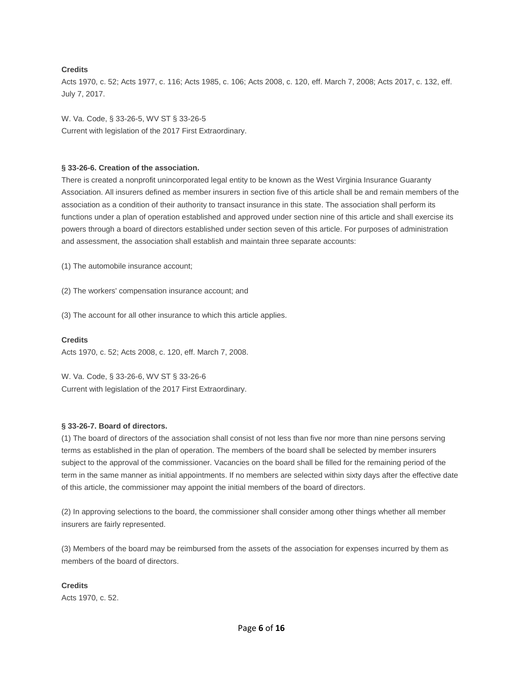# **Credits**

Acts 1970, c. 52; Acts 1977, c. 116; Acts 1985, c. 106; Acts 2008, c. 120, eff. March 7, 2008; Acts 2017, c. 132, eff. July 7, 2017.

W. Va. Code, § 33-26-5, WV ST § 33-26-5 Current with legislation of the 2017 First Extraordinary.

## <span id="page-5-0"></span>**§ 33-26-6. Creation of the association.**

There is created a nonprofit unincorporated legal entity to be known as the West Virginia Insurance Guaranty Association. All insurers defined as member insurers in section five of this article shall be and remain members of the association as a condition of their authority to transact insurance in this state. The association shall perform its functions under a plan of operation established and approved under section nine of this article and shall exercise its powers through a board of directors established under section seven of this article. For purposes of administration and assessment, the association shall establish and maintain three separate accounts:

(1) The automobile insurance account;

(2) The workers' compensation insurance account; and

(3) The account for all other insurance to which this article applies.

## **Credits**

Acts 1970, c. 52; Acts 2008, c. 120, eff. March 7, 2008.

W. Va. Code, § 33-26-6, WV ST § 33-26-6 Current with legislation of the 2017 First Extraordinary.

## <span id="page-5-1"></span>**§ 33-26-7. Board of directors.**

(1) The board of directors of the association shall consist of not less than five nor more than nine persons serving terms as established in the plan of operation. The members of the board shall be selected by member insurers subject to the approval of the commissioner. Vacancies on the board shall be filled for the remaining period of the term in the same manner as initial appointments. If no members are selected within sixty days after the effective date of this article, the commissioner may appoint the initial members of the board of directors.

(2) In approving selections to the board, the commissioner shall consider among other things whether all member insurers are fairly represented.

(3) Members of the board may be reimbursed from the assets of the association for expenses incurred by them as members of the board of directors.

**Credits** Acts 1970, c. 52.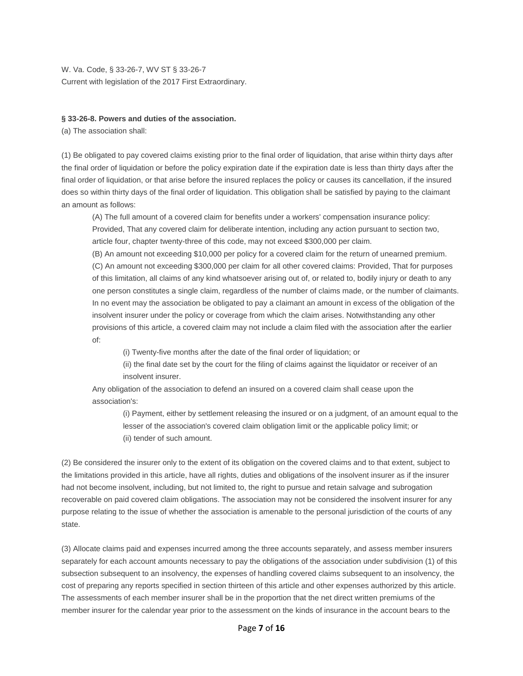W. Va. Code, § 33-26-7, WV ST § 33-26-7 Current with legislation of the 2017 First Extraordinary.

#### <span id="page-6-0"></span>**§ 33-26-8. Powers and duties of the association.**

(a) The association shall:

(1) Be obligated to pay covered claims existing prior to the final order of liquidation, that arise within thirty days after the final order of liquidation or before the policy expiration date if the expiration date is less than thirty days after the final order of liquidation, or that arise before the insured replaces the policy or causes its cancellation, if the insured does so within thirty days of the final order of liquidation. This obligation shall be satisfied by paying to the claimant an amount as follows:

(A) The full amount of a covered claim for benefits under a workers' compensation insurance policy: Provided, That any covered claim for deliberate intention, including any action pursuant to section two, article four, chapter twenty-three of this code, may not exceed \$300,000 per claim.

(B) An amount not exceeding \$10,000 per policy for a covered claim for the return of unearned premium. (C) An amount not exceeding \$300,000 per claim for all other covered claims: Provided, That for purposes of this limitation, all claims of any kind whatsoever arising out of, or related to, bodily injury or death to any one person constitutes a single claim, regardless of the number of claims made, or the number of claimants. In no event may the association be obligated to pay a claimant an amount in excess of the obligation of the insolvent insurer under the policy or coverage from which the claim arises. Notwithstanding any other provisions of this article, a covered claim may not include a claim filed with the association after the earlier of:

(i) Twenty-five months after the date of the final order of liquidation; or

(ii) the final date set by the court for the filing of claims against the liquidator or receiver of an insolvent insurer.

Any obligation of the association to defend an insured on a covered claim shall cease upon the association's:

(i) Payment, either by settlement releasing the insured or on a judgment, of an amount equal to the lesser of the association's covered claim obligation limit or the applicable policy limit; or (ii) tender of such amount.

(2) Be considered the insurer only to the extent of its obligation on the covered claims and to that extent, subject to the limitations provided in this article, have all rights, duties and obligations of the insolvent insurer as if the insurer had not become insolvent, including, but not limited to, the right to pursue and retain salvage and subrogation recoverable on paid covered claim obligations. The association may not be considered the insolvent insurer for any purpose relating to the issue of whether the association is amenable to the personal jurisdiction of the courts of any state.

(3) Allocate claims paid and expenses incurred among the three accounts separately, and assess member insurers separately for each account amounts necessary to pay the obligations of the association under subdivision (1) of this subsection subsequent to an insolvency, the expenses of handling covered claims subsequent to an insolvency, the cost of preparing any reports specified in section thirteen of this article and other expenses authorized by this article. The assessments of each member insurer shall be in the proportion that the net direct written premiums of the member insurer for the calendar year prior to the assessment on the kinds of insurance in the account bears to the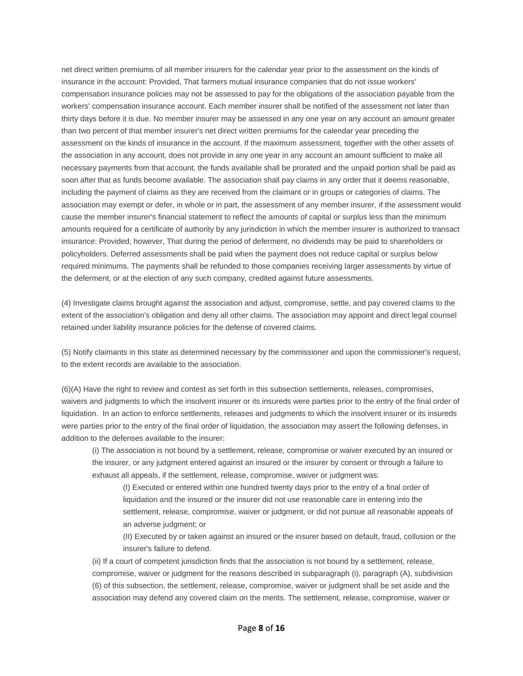net direct written premiums of all member insurers for the calendar year prior to the assessment on the kinds of insurance in the account: Provided, That farmers mutual insurance companies that do not issue workers' compensation insurance policies may not be assessed to pay for the obligations of the association payable from the workers' compensation insurance account. Each member insurer shall be notified of the assessment not later than thirty days before it is due. No member insurer may be assessed in any one year on any account an amount greater than two percent of that member insurer's net direct written premiums for the calendar year preceding the assessment on the kinds of insurance in the account. If the maximum assessment, together with the other assets of the association in any account, does not provide in any one year in any account an amount sufficient to make all necessary payments from that account, the funds available shall be prorated and the unpaid portion shall be paid as soon after that as funds become available. The association shall pay claims in any order that it deems reasonable, including the payment of claims as they are received from the claimant or in groups or categories of claims. The association may exempt or defer, in whole or in part, the assessment of any member insurer, if the assessment would cause the member insurer's financial statement to reflect the amounts of capital or surplus less than the minimum amounts required for a certificate of authority by any jurisdiction in which the member insurer is authorized to transact insurance: Provided, however, That during the period of deferment, no dividends may be paid to shareholders or policyholders. Deferred assessments shall be paid when the payment does not reduce capital or surplus below required minimums. The payments shall be refunded to those companies receiving larger assessments by virtue of the deferment, or at the election of any such company, credited against future assessments.

(4) Investigate claims brought against the association and adjust, compromise, settle, and pay covered claims to the extent of the association's obligation and deny all other claims. The association may appoint and direct legal counsel retained under liability insurance policies for the defense of covered claims.

(5) Notify claimants in this state as determined necessary by the commissioner and upon the commissioner's request, to the extent records are available to the association.

(6)(A) Have the right to review and contest as set forth in this subsection settlements, releases, compromises, waivers and judgments to which the insolvent insurer or its insureds were parties prior to the entry of the final order of liquidation. In an action to enforce settlements, releases and judgments to which the insolvent insurer or its insureds were parties prior to the entry of the final order of liquidation, the association may assert the following defenses, in addition to the defenses available to the insurer:

(i) The association is not bound by a settlement, release, compromise or waiver executed by an insured or the insurer, or any judgment entered against an insured or the insurer by consent or through a failure to exhaust all appeals, if the settlement, release, compromise, waiver or judgment was:

(I) Executed or entered within one hundred twenty days prior to the entry of a final order of liquidation and the insured or the insurer did not use reasonable care in entering into the settlement, release, compromise, waiver or judgment, or did not pursue all reasonable appeals of an adverse judgment; or

(II) Executed by or taken against an insured or the insurer based on default, fraud, collusion or the insurer's failure to defend.

(ii) If a court of competent jurisdiction finds that the association is not bound by a settlement, release, compromise, waiver or judgment for the reasons described in subparagraph (i), paragraph (A), subdivision (6) of this subsection, the settlement, release, compromise, waiver or judgment shall be set aside and the association may defend any covered claim on the merits. The settlement, release, compromise, waiver or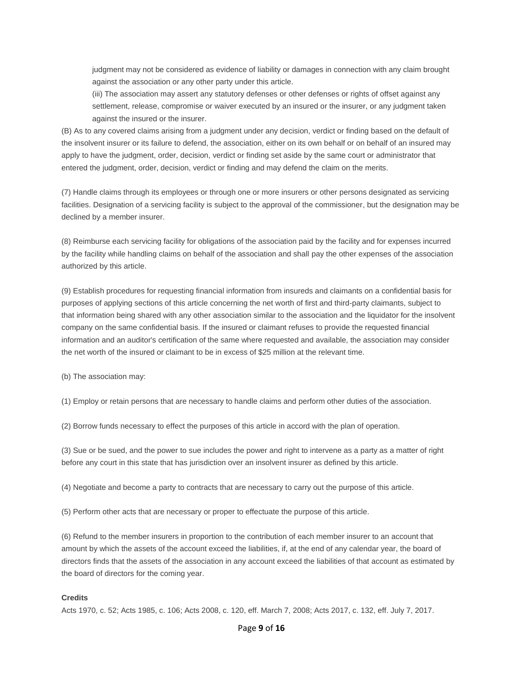judgment may not be considered as evidence of liability or damages in connection with any claim brought against the association or any other party under this article.

(iii) The association may assert any statutory defenses or other defenses or rights of offset against any settlement, release, compromise or waiver executed by an insured or the insurer, or any judgment taken against the insured or the insurer.

(B) As to any covered claims arising from a judgment under any decision, verdict or finding based on the default of the insolvent insurer or its failure to defend, the association, either on its own behalf or on behalf of an insured may apply to have the judgment, order, decision, verdict or finding set aside by the same court or administrator that entered the judgment, order, decision, verdict or finding and may defend the claim on the merits.

(7) Handle claims through its employees or through one or more insurers or other persons designated as servicing facilities. Designation of a servicing facility is subject to the approval of the commissioner, but the designation may be declined by a member insurer.

(8) Reimburse each servicing facility for obligations of the association paid by the facility and for expenses incurred by the facility while handling claims on behalf of the association and shall pay the other expenses of the association authorized by this article.

(9) Establish procedures for requesting financial information from insureds and claimants on a confidential basis for purposes of applying sections of this article concerning the net worth of first and third-party claimants, subject to that information being shared with any other association similar to the association and the liquidator for the insolvent company on the same confidential basis. If the insured or claimant refuses to provide the requested financial information and an auditor's certification of the same where requested and available, the association may consider the net worth of the insured or claimant to be in excess of \$25 million at the relevant time.

(b) The association may:

(1) Employ or retain persons that are necessary to handle claims and perform other duties of the association.

(2) Borrow funds necessary to effect the purposes of this article in accord with the plan of operation.

(3) Sue or be sued, and the power to sue includes the power and right to intervene as a party as a matter of right before any court in this state that has jurisdiction over an insolvent insurer as defined by this article.

(4) Negotiate and become a party to contracts that are necessary to carry out the purpose of this article.

(5) Perform other acts that are necessary or proper to effectuate the purpose of this article.

(6) Refund to the member insurers in proportion to the contribution of each member insurer to an account that amount by which the assets of the account exceed the liabilities, if, at the end of any calendar year, the board of directors finds that the assets of the association in any account exceed the liabilities of that account as estimated by the board of directors for the coming year.

#### **Credits**

Acts 1970, c. 52; Acts 1985, c. 106; Acts 2008, c. 120, eff. March 7, 2008; Acts 2017, c. 132, eff. July 7, 2017.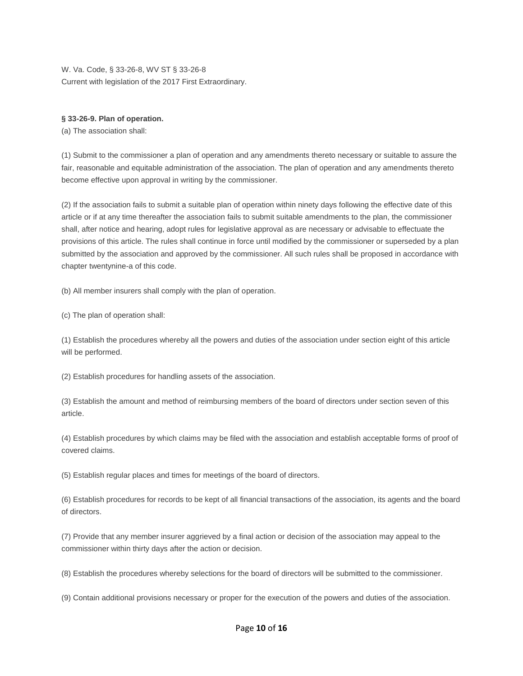W. Va. Code, § 33-26-8, WV ST § 33-26-8 Current with legislation of the 2017 First Extraordinary.

# <span id="page-9-0"></span>**§ 33-26-9. Plan of operation.**

(a) The association shall:

(1) Submit to the commissioner a plan of operation and any amendments thereto necessary or suitable to assure the fair, reasonable and equitable administration of the association. The plan of operation and any amendments thereto become effective upon approval in writing by the commissioner.

(2) If the association fails to submit a suitable plan of operation within ninety days following the effective date of this article or if at any time thereafter the association fails to submit suitable amendments to the plan, the commissioner shall, after notice and hearing, adopt rules for legislative approval as are necessary or advisable to effectuate the provisions of this article. The rules shall continue in force until modified by the commissioner or superseded by a plan submitted by the association and approved by the commissioner. All such rules shall be proposed in accordance with chapter twentynine-a of this code.

(b) All member insurers shall comply with the plan of operation.

(c) The plan of operation shall:

(1) Establish the procedures whereby all the powers and duties of the association under section eight of this article will be performed.

(2) Establish procedures for handling assets of the association.

(3) Establish the amount and method of reimbursing members of the board of directors under section seven of this article.

(4) Establish procedures by which claims may be filed with the association and establish acceptable forms of proof of covered claims.

(5) Establish regular places and times for meetings of the board of directors.

(6) Establish procedures for records to be kept of all financial transactions of the association, its agents and the board of directors.

(7) Provide that any member insurer aggrieved by a final action or decision of the association may appeal to the commissioner within thirty days after the action or decision.

(8) Establish the procedures whereby selections for the board of directors will be submitted to the commissioner.

(9) Contain additional provisions necessary or proper for the execution of the powers and duties of the association.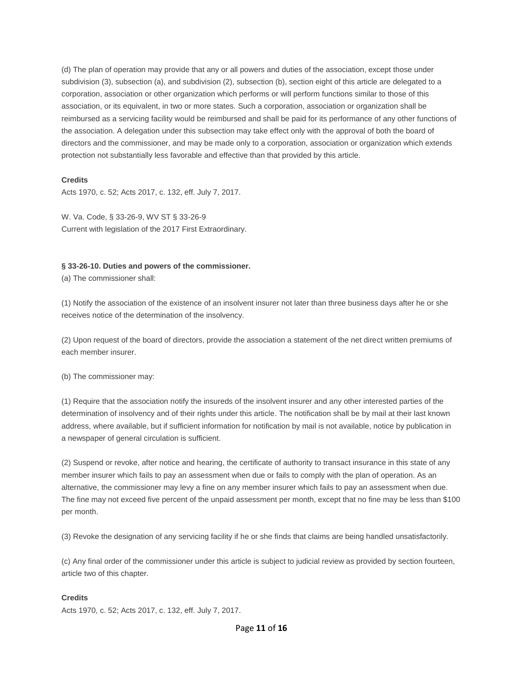(d) The plan of operation may provide that any or all powers and duties of the association, except those under subdivision (3), subsection (a), and subdivision (2), subsection (b), section eight of this article are delegated to a corporation, association or other organization which performs or will perform functions similar to those of this association, or its equivalent, in two or more states. Such a corporation, association or organization shall be reimbursed as a servicing facility would be reimbursed and shall be paid for its performance of any other functions of the association. A delegation under this subsection may take effect only with the approval of both the board of directors and the commissioner, and may be made only to a corporation, association or organization which extends protection not substantially less favorable and effective than that provided by this article.

## **Credits**

Acts 1970, c. 52; Acts 2017, c. 132, eff. July 7, 2017.

W. Va. Code, § 33-26-9, WV ST § 33-26-9 Current with legislation of the 2017 First Extraordinary.

## <span id="page-10-0"></span>**§ 33-26-10. Duties and powers of the commissioner.**

(a) The commissioner shall:

(1) Notify the association of the existence of an insolvent insurer not later than three business days after he or she receives notice of the determination of the insolvency.

(2) Upon request of the board of directors, provide the association a statement of the net direct written premiums of each member insurer.

(b) The commissioner may:

(1) Require that the association notify the insureds of the insolvent insurer and any other interested parties of the determination of insolvency and of their rights under this article. The notification shall be by mail at their last known address, where available, but if sufficient information for notification by mail is not available, notice by publication in a newspaper of general circulation is sufficient.

(2) Suspend or revoke, after notice and hearing, the certificate of authority to transact insurance in this state of any member insurer which fails to pay an assessment when due or fails to comply with the plan of operation. As an alternative, the commissioner may levy a fine on any member insurer which fails to pay an assessment when due. The fine may not exceed five percent of the unpaid assessment per month, except that no fine may be less than \$100 per month.

(3) Revoke the designation of any servicing facility if he or she finds that claims are being handled unsatisfactorily.

(c) Any final order of the commissioner under this article is subject to judicial review as provided by section fourteen, article two of this chapter.

# **Credits**

Acts 1970, c. 52; Acts 2017, c. 132, eff. July 7, 2017.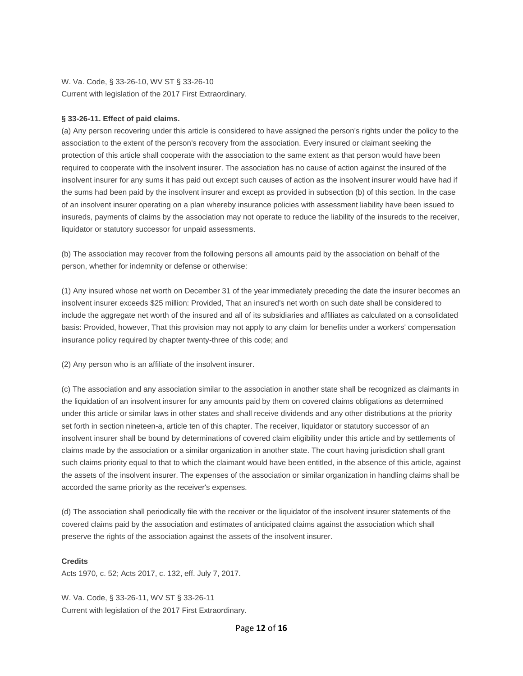W. Va. Code, § 33-26-10, WV ST § 33-26-10 Current with legislation of the 2017 First Extraordinary.

# <span id="page-11-0"></span>**§ 33-26-11. Effect of paid claims.**

(a) Any person recovering under this article is considered to have assigned the person's rights under the policy to the association to the extent of the person's recovery from the association. Every insured or claimant seeking the protection of this article shall cooperate with the association to the same extent as that person would have been required to cooperate with the insolvent insurer. The association has no cause of action against the insured of the insolvent insurer for any sums it has paid out except such causes of action as the insolvent insurer would have had if the sums had been paid by the insolvent insurer and except as provided in subsection (b) of this section. In the case of an insolvent insurer operating on a plan whereby insurance policies with assessment liability have been issued to insureds, payments of claims by the association may not operate to reduce the liability of the insureds to the receiver, liquidator or statutory successor for unpaid assessments.

(b) The association may recover from the following persons all amounts paid by the association on behalf of the person, whether for indemnity or defense or otherwise:

(1) Any insured whose net worth on December 31 of the year immediately preceding the date the insurer becomes an insolvent insurer exceeds \$25 million: Provided, That an insured's net worth on such date shall be considered to include the aggregate net worth of the insured and all of its subsidiaries and affiliates as calculated on a consolidated basis: Provided, however, That this provision may not apply to any claim for benefits under a workers' compensation insurance policy required by chapter twenty-three of this code; and

(2) Any person who is an affiliate of the insolvent insurer.

(c) The association and any association similar to the association in another state shall be recognized as claimants in the liquidation of an insolvent insurer for any amounts paid by them on covered claims obligations as determined under this article or similar laws in other states and shall receive dividends and any other distributions at the priority set forth in section nineteen-a, article ten of this chapter. The receiver, liquidator or statutory successor of an insolvent insurer shall be bound by determinations of covered claim eligibility under this article and by settlements of claims made by the association or a similar organization in another state. The court having jurisdiction shall grant such claims priority equal to that to which the claimant would have been entitled, in the absence of this article, against the assets of the insolvent insurer. The expenses of the association or similar organization in handling claims shall be accorded the same priority as the receiver's expenses.

(d) The association shall periodically file with the receiver or the liquidator of the insolvent insurer statements of the covered claims paid by the association and estimates of anticipated claims against the association which shall preserve the rights of the association against the assets of the insolvent insurer.

# **Credits**

Acts 1970, c. 52; Acts 2017, c. 132, eff. July 7, 2017.

W. Va. Code, § 33-26-11, WV ST § 33-26-11 Current with legislation of the 2017 First Extraordinary.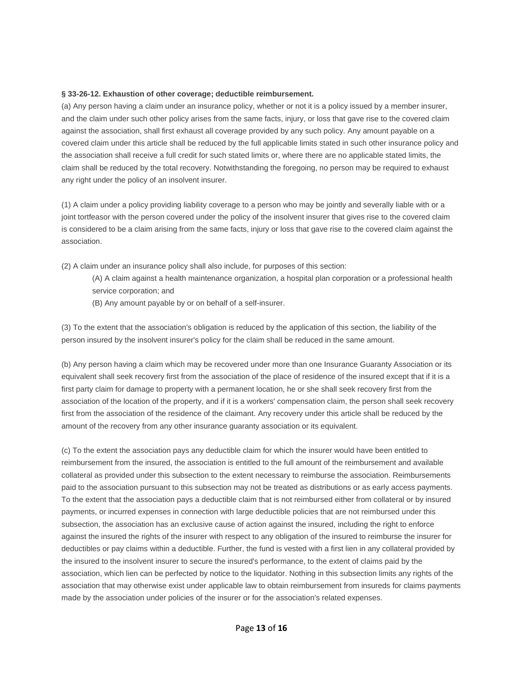## <span id="page-12-0"></span>**§ 33-26-12. Exhaustion of other coverage; deductible reimbursement.**

(a) Any person having a claim under an insurance policy, whether or not it is a policy issued by a member insurer, and the claim under such other policy arises from the same facts, injury, or loss that gave rise to the covered claim against the association, shall first exhaust all coverage provided by any such policy. Any amount payable on a covered claim under this article shall be reduced by the full applicable limits stated in such other insurance policy and the association shall receive a full credit for such stated limits or, where there are no applicable stated limits, the claim shall be reduced by the total recovery. Notwithstanding the foregoing, no person may be required to exhaust any right under the policy of an insolvent insurer.

(1) A claim under a policy providing liability coverage to a person who may be jointly and severally liable with or a joint tortfeasor with the person covered under the policy of the insolvent insurer that gives rise to the covered claim is considered to be a claim arising from the same facts, injury or loss that gave rise to the covered claim against the association.

(2) A claim under an insurance policy shall also include, for purposes of this section:

- (A) A claim against a health maintenance organization, a hospital plan corporation or a professional health service corporation; and
- (B) Any amount payable by or on behalf of a self-insurer.

(3) To the extent that the association's obligation is reduced by the application of this section, the liability of the person insured by the insolvent insurer's policy for the claim shall be reduced in the same amount.

(b) Any person having a claim which may be recovered under more than one Insurance Guaranty Association or its equivalent shall seek recovery first from the association of the place of residence of the insured except that if it is a first party claim for damage to property with a permanent location, he or she shall seek recovery first from the association of the location of the property, and if it is a workers' compensation claim, the person shall seek recovery first from the association of the residence of the claimant. Any recovery under this article shall be reduced by the amount of the recovery from any other insurance guaranty association or its equivalent.

(c) To the extent the association pays any deductible claim for which the insurer would have been entitled to reimbursement from the insured, the association is entitled to the full amount of the reimbursement and available collateral as provided under this subsection to the extent necessary to reimburse the association. Reimbursements paid to the association pursuant to this subsection may not be treated as distributions or as early access payments. To the extent that the association pays a deductible claim that is not reimbursed either from collateral or by insured payments, or incurred expenses in connection with large deductible policies that are not reimbursed under this subsection, the association has an exclusive cause of action against the insured, including the right to enforce against the insured the rights of the insurer with respect to any obligation of the insured to reimburse the insurer for deductibles or pay claims within a deductible. Further, the fund is vested with a first lien in any collateral provided by the insured to the insolvent insurer to secure the insured's performance, to the extent of claims paid by the association, which lien can be perfected by notice to the liquidator. Nothing in this subsection limits any rights of the association that may otherwise exist under applicable law to obtain reimbursement from insureds for claims payments made by the association under policies of the insurer or for the association's related expenses.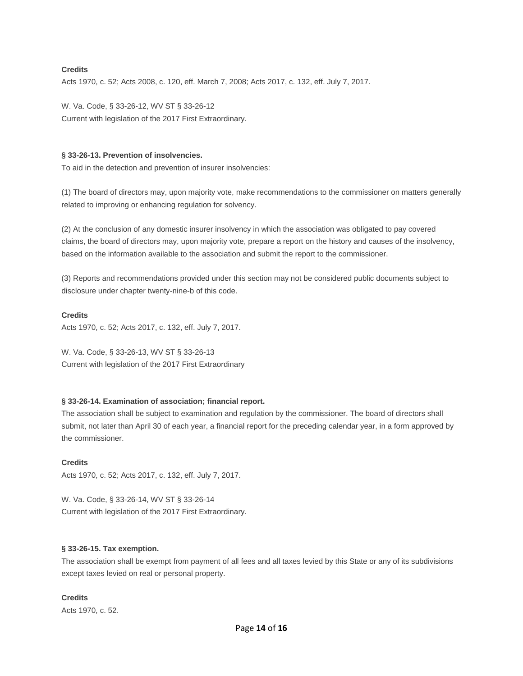## **Credits**

Acts 1970, c. 52; Acts 2008, c. 120, eff. March 7, 2008; Acts 2017, c. 132, eff. July 7, 2017.

W. Va. Code, § 33-26-12, WV ST § 33-26-12 Current with legislation of the 2017 First Extraordinary.

## <span id="page-13-0"></span>**§ 33-26-13. Prevention of insolvencies.**

To aid in the detection and prevention of insurer insolvencies:

(1) The board of directors may, upon majority vote, make recommendations to the commissioner on matters generally related to improving or enhancing regulation for solvency.

(2) At the conclusion of any domestic insurer insolvency in which the association was obligated to pay covered claims, the board of directors may, upon majority vote, prepare a report on the history and causes of the insolvency, based on the information available to the association and submit the report to the commissioner.

(3) Reports and recommendations provided under this section may not be considered public documents subject to disclosure under chapter twenty-nine-b of this code.

# **Credits**

Acts 1970, c. 52; Acts 2017, c. 132, eff. July 7, 2017.

W. Va. Code, § 33-26-13, WV ST § 33-26-13 Current with legislation of the 2017 First Extraordinary

# <span id="page-13-1"></span>**§ 33-26-14. Examination of association; financial report.**

The association shall be subject to examination and regulation by the commissioner. The board of directors shall submit, not later than April 30 of each year, a financial report for the preceding calendar year, in a form approved by the commissioner.

## **Credits**

Acts 1970, c. 52; Acts 2017, c. 132, eff. July 7, 2017.

W. Va. Code, § 33-26-14, WV ST § 33-26-14 Current with legislation of the 2017 First Extraordinary.

# <span id="page-13-2"></span>**§ 33-26-15. Tax exemption.**

The association shall be exempt from payment of all fees and all taxes levied by this State or any of its subdivisions except taxes levied on real or personal property.

# **Credits**

Acts 1970, c. 52.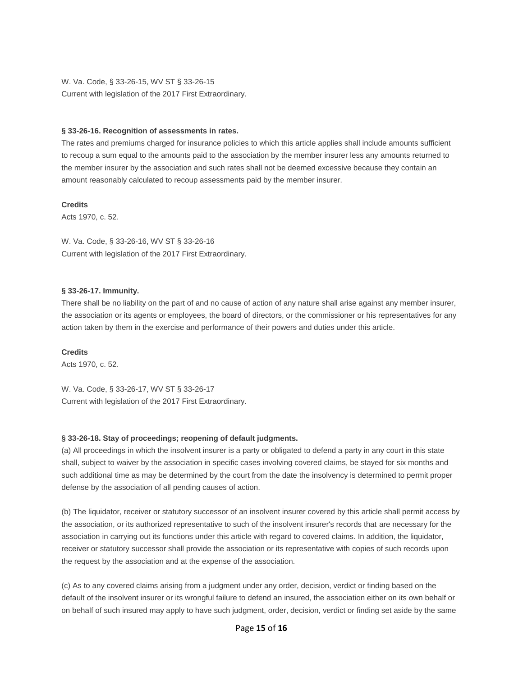W. Va. Code, § 33-26-15, WV ST § 33-26-15 Current with legislation of the 2017 First Extraordinary.

## <span id="page-14-0"></span>**§ 33-26-16. Recognition of assessments in rates.**

The rates and premiums charged for insurance policies to which this article applies shall include amounts sufficient to recoup a sum equal to the amounts paid to the association by the member insurer less any amounts returned to the member insurer by the association and such rates shall not be deemed excessive because they contain an amount reasonably calculated to recoup assessments paid by the member insurer.

**Credits**

Acts 1970, c. 52.

W. Va. Code, § 33-26-16, WV ST § 33-26-16 Current with legislation of the 2017 First Extraordinary.

## <span id="page-14-1"></span>**§ 33-26-17. Immunity.**

There shall be no liability on the part of and no cause of action of any nature shall arise against any member insurer, the association or its agents or employees, the board of directors, or the commissioner or his representatives for any action taken by them in the exercise and performance of their powers and duties under this article.

# **Credits**

Acts 1970, c. 52.

W. Va. Code, § 33-26-17, WV ST § 33-26-17 Current with legislation of the 2017 First Extraordinary.

## <span id="page-14-2"></span>**§ 33-26-18. Stay of proceedings; reopening of default judgments.**

(a) All proceedings in which the insolvent insurer is a party or obligated to defend a party in any court in this state shall, subject to waiver by the association in specific cases involving covered claims, be stayed for six months and such additional time as may be determined by the court from the date the insolvency is determined to permit proper defense by the association of all pending causes of action.

(b) The liquidator, receiver or statutory successor of an insolvent insurer covered by this article shall permit access by the association, or its authorized representative to such of the insolvent insurer's records that are necessary for the association in carrying out its functions under this article with regard to covered claims. In addition, the liquidator, receiver or statutory successor shall provide the association or its representative with copies of such records upon the request by the association and at the expense of the association.

(c) As to any covered claims arising from a judgment under any order, decision, verdict or finding based on the default of the insolvent insurer or its wrongful failure to defend an insured, the association either on its own behalf or on behalf of such insured may apply to have such judgment, order, decision, verdict or finding set aside by the same